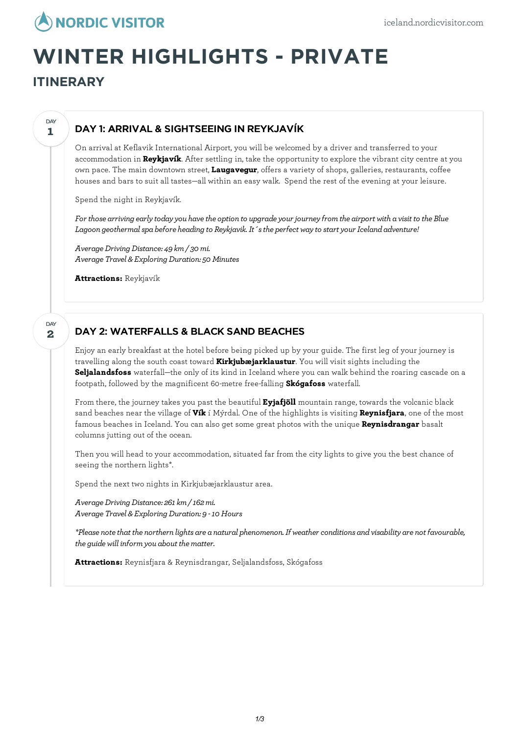

# **WINTER HIGHLIGHTS - PRIVATE**

**ITINERARY**

#### **1 DAY**

## DAY 1: ARRIVAL & SIGHTSEEING IN REYKJAVÍK

On arrival at Keflavik International Airport, you will be welcomed by a driver and transferred to your accommodation in **Reykjavík**. After settling in, take the opportunity to explore the vibrant city centre at you own pace. The main downtown street, **Laugavegur**, offers a variety of shops, galleries, restaurants, coffee houses and bars to suit all tastes—all within an easy walk. Spend the rest of the evening at your leisure.

Spend the night in Reykjavík.

*For those arriving earlytodayyou havethe option to upgradeyour journeyfromthe airport with a visit to the Blue Lagoon geothermalspa before heading to Reykjavik.It´sthe perfect wayto startyour Icelandadventure!*

*AverageDrivingDistance: 49 km/ 30mi. Average Travel & ExploringDuration: 50 Minutes*

**Attractions:** Reykjavík

#### **2 DAY**

## DAY 2: WATERFALLS & BLACK SAND BEACHES

Enjoy an early breakfast at the hotel before being picked up by your guide. The first leg of your journey is travelling along the south coast toward **Kirkjubæjarklaustur**. You will visit sights including the **Seljalandsfoss** waterfall—the only of its kind in Iceland where you can walk behind the roaring cascade on a footpath, followed by the magnificent 60-metre free-falling **Skógafoss** waterfall.

From there, the journey takes you past the beautiful **Eyjafjöll** mountain range, towards the volcanic black sand beaches near the village of **Vík** í Mýrdal. One of the highlights is visiting **Reynisfjara**, one of the most famous beaches in Iceland. You can also get some great photos with the unique **Reynisdrangar** basalt columns jutting out of the ocean.

Then you will head to your accommodation, situated far from the city lights to give you the best chance of seeing the northern lights\*.

Spend the next two nights in Kirkjubæjarklaustur area.

*AverageDrivingDistance: 261km/ 162mi. Average Travel & ExploringDuration: 9 -10 Hours*

*\*Please notethat the northern lights are a natural phenomenon.If weatherconditions andvisability are not favourable, the guidewill informyou about thematter.*

**Attractions:** Reynisfjara & Reynisdrangar, Seljalandsfoss, Skógafoss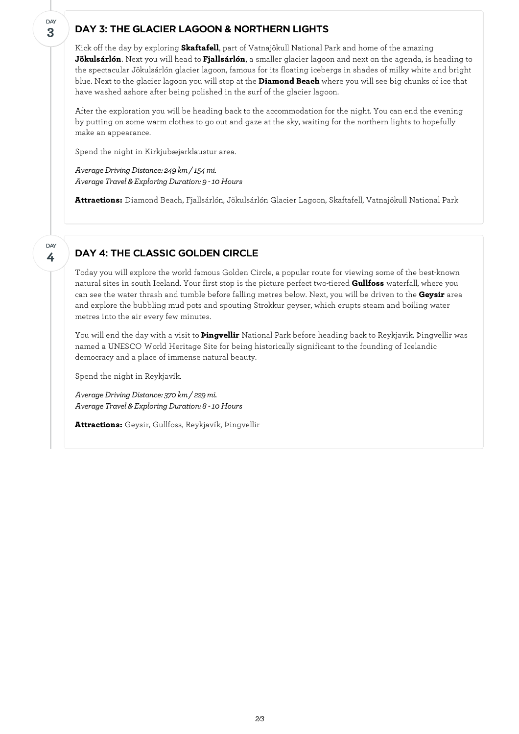## DAY 3: THE GLACIER LAGOON & NORTHERN LIGHTS

Kick off the day by exploring **Skaftafell**, part of Vatnajökull National Park and home of the amazing **Jökulsárlón**. Next you will head to **Fjallsárlón**, a smaller glacier lagoon and next on the agenda, is heading to the spectacular Jökulsárlón glacier lagoon, famous for its floating icebergs in shades of milky white and bright blue. Next to the glacier lagoon you will stop at the **Diamond Beach** where you will see big chunks of ice that have washed ashore after being polished in the surf of the glacier lagoon.

After the exploration you will be heading back to the accommodation for the night. You can end the evening by putting on some warm clothes to go out and gaze at the sky, waiting for the northern lights to hopefully make an appearance.

Spend the night in Kirkjubæjarklaustur area.

**3**

DAY

**4**

DAY

*AverageDrivingDistance: 249 km/ 154mi. Average Travel & ExploringDuration: 9 -10 Hours*

**Attractions:** Diamond Beach, Fjallsárlón, Jökulsárlón Glacier Lagoon, Skaftafell, Vatnajökull National Park

## DAY 4: THE CLASSIC GOLDEN CIRCLE

Today you willexplore the world famous Golden Circle, a popular route for viewing some of the best-known natural sites in south Iceland. Your first stop is the picture perfect two-tiered **Gullfoss** waterfall, where you can see the water thrash and tumble before falling metres below. Next, you will be driven to the **Geysir** area and explore the bubbling mud pots and spouting Strokkur geyser, which erupts steam and boiling water metres into the air every few minutes.

You willend the day with a visit to **Þingvellir** National Park before heading back to Reykjavik. Þingvellir was named a UNESCO World Heritage Site for being historically significant to the founding of Icelandic democracy and a place of immense natural beauty.

Spend the night in Reykjavík.

*AverageDrivingDistance: 370 km/ 229mi. Average Travel & ExploringDuration: 8 -10 Hours*

**Attractions:** Geysir, Gullfoss, Reykjavík, Þingvellir